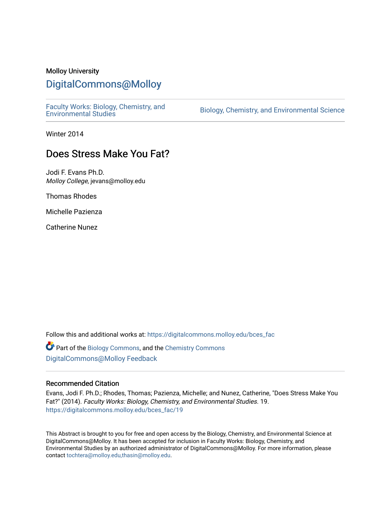## Molloy University

# [DigitalCommons@Molloy](https://digitalcommons.molloy.edu/)

[Faculty Works: Biology, Chemistry, and](https://digitalcommons.molloy.edu/bces_fac) 

Biology, Chemistry, and Environmental Science

Winter 2014

# Does Stress Make You Fat?

Jodi F. Evans Ph.D. Molloy College, jevans@molloy.edu

Thomas Rhodes

Michelle Pazienza

Catherine Nunez

Follow this and additional works at: [https://digitalcommons.molloy.edu/bces\\_fac](https://digitalcommons.molloy.edu/bces_fac?utm_source=digitalcommons.molloy.edu%2Fbces_fac%2F19&utm_medium=PDF&utm_campaign=PDFCoverPages)

 $\bullet$  Part of the [Biology Commons,](https://network.bepress.com/hgg/discipline/41?utm_source=digitalcommons.molloy.edu%2Fbces_fac%2F19&utm_medium=PDF&utm_campaign=PDFCoverPages) and the [Chemistry Commons](https://network.bepress.com/hgg/discipline/131?utm_source=digitalcommons.molloy.edu%2Fbces_fac%2F19&utm_medium=PDF&utm_campaign=PDFCoverPages) [DigitalCommons@Molloy Feedback](https://molloy.libwizard.com/f/dcfeedback)

#### Recommended Citation

Evans, Jodi F. Ph.D.; Rhodes, Thomas; Pazienza, Michelle; and Nunez, Catherine, "Does Stress Make You Fat?" (2014). Faculty Works: Biology, Chemistry, and Environmental Studies. 19. [https://digitalcommons.molloy.edu/bces\\_fac/19](https://digitalcommons.molloy.edu/bces_fac/19?utm_source=digitalcommons.molloy.edu%2Fbces_fac%2F19&utm_medium=PDF&utm_campaign=PDFCoverPages) 

This Abstract is brought to you for free and open access by the Biology, Chemistry, and Environmental Science at DigitalCommons@Molloy. It has been accepted for inclusion in Faculty Works: Biology, Chemistry, and Environmental Studies by an authorized administrator of DigitalCommons@Molloy. For more information, please contact [tochtera@molloy.edu,thasin@molloy.edu.](mailto:tochtera@molloy.edu,thasin@molloy.edu)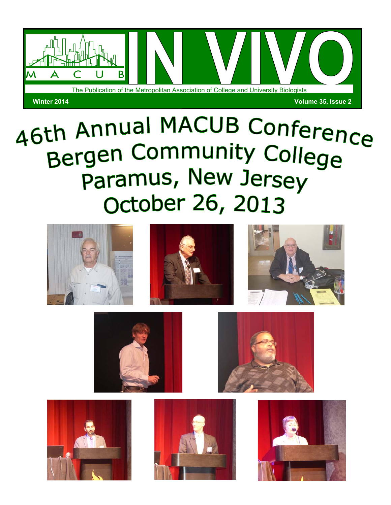

# 46th Annual MACUB Conference Bergen Community College Paramus, New Jersey October 26, 2013











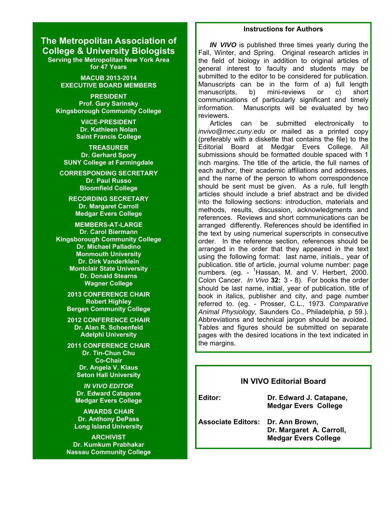## **The Metropolitan Association of College & University Biologists**

**Serving the Metropolitan New York Area for 47 Years**

> **MACUB 2013-2014 EXECUTIVE BOARD MEMBERS**

**PRESIDENT Prof. Gary Sarinsky Kingsborough Community College**

> **ViICE-PRESIDENT Dr. Kathleen Nolan Saint Francis College**

**TREASURER Dr. Gerhard Spory SUNY College at Farmingdale**

**CORRESPONDING SECRETARY Dr. Paul Russo Bloomfield College**

**RECORDING SECRETARY Dr. Margaret Carroll Medgar Evers College**

**MEMBERS-AT-LARGE Dr. Carol Biermann Kingsborough Community College Dr. Michael Palladino Monmouth University Dr. Dirk Vanderklein Montclair State University Dr. Donald Stearns Wagner College**

**2013 CONFERENCE CHAIR Robert Highley Bergen Community College**

**2012 CONFERENCE CHAIR Dr. Alan R. Schoenfeld Adelphi University**

**2011 CONFERENCE CHAIR Dr. Tin-Chun Chu Co-Chair Dr. Angela V. Klaus Seton Hall University**

> *IN VIVO EDITOR*  **Dr. Edward Catapane Medgar Evers College**

**AWARDS CHAIR Dr. Anthony DePass Long Island University**

**ARCHIVIST Dr. Kumkum Prabhakar Nassau Community College**

#### **Instructions for Authors**

*IN VIVO* is published three times yearly during the Fall, Winter, and Spring. Original research articles in the field of biology in addition to original articles of general interest to faculty and students may be submitted to the editor to be considered for publication. Manuscripts can be in the form of a) full length manuscripts, b) mini-reviews or c) short communications of particularly significant and timely information. Manuscripts will be evaluated by two reviewers.

 Articles can be submitted electronically to *invivo@mec.cuny.edu* or mailed as a printed copy (preferably with a diskette that contains the file) to the Editorial Board at Medgar Evers College. All submissions should be formatted double spaced with 1 inch margins. The title of the article, the full names of each author, their academic affiliations and addresses, and the name of the person to whom correspondence should be sent must be given. As a rule, full length articles should include a brief abstract and be divided into the following sections: introduction, materials and methods, results, discussion, acknowledgments and references. Reviews and short communications can be arranged differently. References should be identified in the text by using numerical superscripts in consecutive order. In the reference section, references should be arranged in the order that they appeared in the text using the following format: last name, initials., year of publication. title of article, journal volume number: page numbers. (eg. - <sup>1</sup>Hassan, M. and V. Herbert, 2000. Colon Cancer. *In Vivo* **32:** 3 - 8). For books the order should be last name, initial, year of publication, title of book in italics, publisher and city, and page number referred to. (eg. - Prosser, C.L., 1973. *Comparative Animal Physiology*, Saunders Co., Philadelphia, p 59.). Abbreviations and technical jargon should be avoided. Tables and figures should be submitted on separate pages with the desired locations in the text indicated in the margins.

### **IN VIVO Editorial Board**

**Editor: Dr. Edward J. Catapane, Medgar Evers College** 

**Associate Editors: Dr. Ann Brown, Dr. Margaret A. Carroll, Medgar Evers College**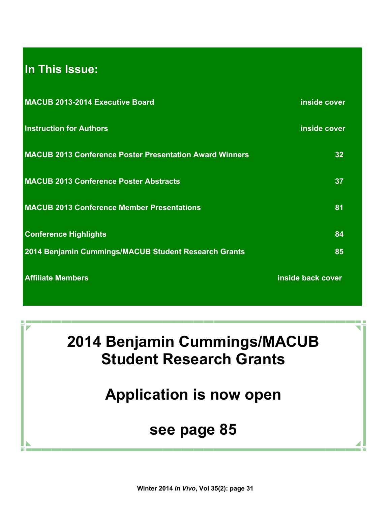# **In This Issue:**

| <b>MACUB 2013-2014 Executive Board</b>                         | inside cover      |
|----------------------------------------------------------------|-------------------|
| <b>Instruction for Authors</b>                                 | inside cover      |
| <b>MACUB 2013 Conference Poster Presentation Award Winners</b> | 32                |
| <b>MACUB 2013 Conference Poster Abstracts</b>                  | 37                |
| <b>MACUB 2013 Conference Member Presentations</b>              | 81                |
| <b>Conference Highlights</b>                                   | 84                |
| 2014 Benjamin Cummings/MACUB Student Research Grants           | 85                |
| <b>Affiliate Members</b>                                       | inside back cover |

**2014 Benjamin Cummings/MACUB Student Research Grants** 

**Application is now open** 

# **see page 85**